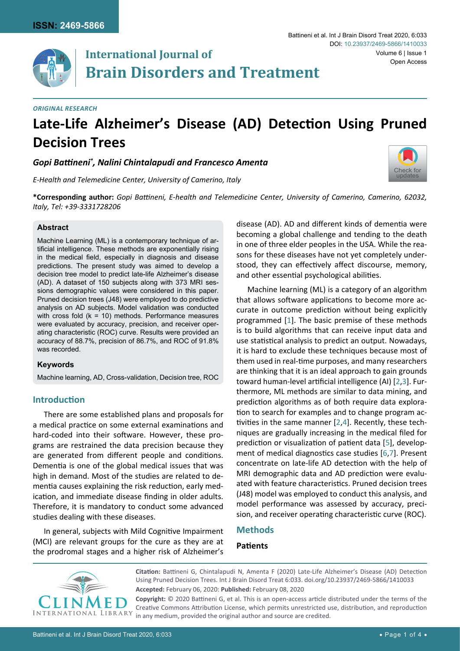

## **International Journal of Brain Disorders and Treatment**

*Original Research*

# **Late-Life Alzheimer's Disease (AD) Detection Using Pruned Decision Trees**

*Gopi Battineni\* , Nalini Chintalapudi and Francesco Amenta*

*E-Health and Telemedicine Center, University of Camerino, Italy*



**\*Corresponding author:** *Gopi Battineni, E-health and Telemedicine Center, University of Camerino, Camerino, 62032, Italy, Tel: +39-3331728206*

#### **Abstract**

Machine Learning (ML) is a contemporary technique of artificial intelligence. These methods are exponentially rising in the medical field, especially in diagnosis and disease predictions. The present study was aimed to develop a decision tree model to predict late-life Alzheimer's disease (AD). A dataset of 150 subjects along with 373 MRI sessions demographic values were considered in this paper. Pruned decision trees (J48) were employed to do predictive analysis on AD subjects. Model validation was conducted with cross fold  $(k = 10)$  methods. Performance measures were evaluated by accuracy, precision, and receiver operating characteristic (ROC) curve. Results were provided an accuracy of 88.7%, precision of 86.7%, and ROC of 91.8% was recorded.

#### **Keywords**

Machine learning, AD, Cross-validation, Decision tree, ROC

#### **Introduction**

There are some established plans and proposals for a medical practice on some external examinations and hard-coded into their software. However, these programs are restrained the data precision because they are generated from different people and conditions. Dementia is one of the global medical issues that was high in demand. Most of the studies are related to dementia causes explaining the risk reduction, early medication, and immediate disease finding in older adults. Therefore, it is mandatory to conduct some advanced studies dealing with these diseases.

In general, subjects with Mild Cognitive Impairment (MCI) are relevant groups for the cure as they are at the prodromal stages and a higher risk of Alzheimer's disease (AD). AD and different kinds of dementia were becoming a global challenge and tending to the death in one of three elder peoples in the USA. While the reasons for these diseases have not yet completely understood, they can effectively affect discourse, memory, and other essential psychological abilities.

Machine learning (ML) is a category of an algorithm that allows software applications to become more accurate in outcome prediction without being explicitly programmed [\[1](#page-3-0)]. The basic premise of these methods is to build algorithms that can receive input data and use statistical analysis to predict an output. Nowadays, it is hard to exclude these techniques because most of them used in real-time purposes, and many researchers are thinking that it is an ideal approach to gain grounds toward human-level artificial intelligence (AI) [\[2,](#page-3-1)[3](#page-3-2)]. Furthermore, ML methods are similar to data mining, and prediction algorithms as of both require data exploration to search for examples and to change program activities in the same manner [\[2,](#page-3-1)[4](#page-3-3)]. Recently, these techniques are gradually increasing in the medical filed for prediction or visualization of patient data [[5\]](#page-3-4), development of medical diagnostics case studies [[6](#page-3-5),[7\]](#page-3-6). Present concentrate on late-life AD detection with the help of MRI demographic data and AD prediction were evaluated with feature characteristics. Pruned decision trees (J48) model was employed to conduct this analysis, and model performance was assessed by accuracy, precision, and receiver operating characteristic curve (ROC).

#### **Methods**

### **Patients**



**Citation:** Battineni G, Chintalapudi N, Amenta F (2020) Late-Life Alzheimer's Disease (AD) Detection Using Pruned Decision Trees. Int J Brain Disord Treat 6:033. [doi.org/10.23937/2469-5866/1410033](https://doi.org/10.23937/2469-5866/1410033) **Accepted:** February 06, 2020: **Published:** February 08, 2020

**Copyright:** © 2020 Battineni G, et al. This is an open-access article distributed under the terms of the Creative Commons Attribution License, which permits unrestricted use, distribution, and reproduction in any medium, provided the original author and source are credited.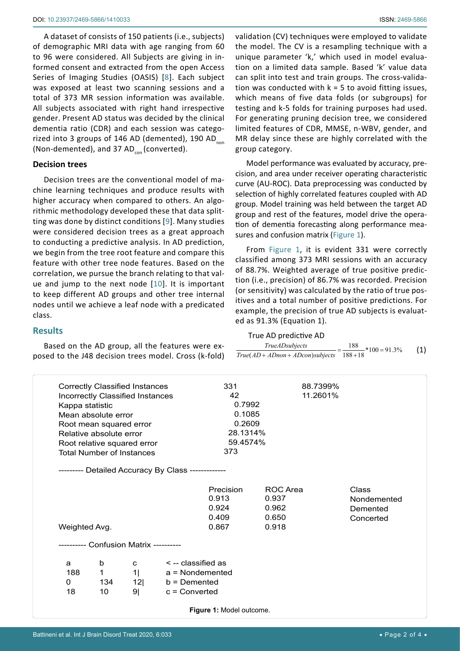A dataset of consists of 150 patients (i.e., subjects) of demographic MRI data with age ranging from 60 to 96 were considered. All Subjects are giving in informed consent and extracted from the open Access Series of Imaging Studies (OASIS) [[8\]](#page-3-7). Each subject was exposed at least two scanning sessions and a total of 373 MR session information was available. All subjects associated with right hand irrespective gender. Present AD status was decided by the clinical dementia ratio (CDR) and each session was categorized into 3 groups of 146 AD (demented), 190 AD $_{\text{non}}$ (Non-demented), and 37 AD $_{\rm con}$  (converted).

#### **Decision trees**

Decision trees are the conventional model of machine learning techniques and produce results with higher accuracy when compared to others. An algorithmic methodology developed these that data splitting was done by distinct conditions [[9\]](#page-3-8). Many studies were considered decision trees as a great approach to conducting a predictive analysis. In AD prediction, we begin from the tree root feature and compare this feature with other tree node features. Based on the correlation, we pursue the branch relating to that value and jump to the next node [[10](#page-3-9)]. It is important to keep different AD groups and other tree internal nodes until we achieve a leaf node with a predicated class.

#### **Results**

Based on the AD group, all the features were exposed to the J48 decision trees model. Cross (k-fold) validation (CV) techniques were employed to validate the model. The CV is a resampling technique with a unique parameter 'k,' which used in model evaluation on a limited data sample. Based 'k' value data can split into test and train groups. The cross-validation was conducted with  $k = 5$  to avoid fitting issues, which means of five data folds (or subgroups) for testing and k-5 folds for training purposes had used. For generating pruning decision tree, we considered limited features of CDR, MMSE, n-WBV, gender, and MR delay since these are highly correlated with the group category.

Model performance was evaluated by accuracy, precision, and area under receiver operating characteristic curve (AU-ROC). Data preprocessing was conducted by selection of highly correlated features coupled with AD group. Model training was held between the target AD group and rest of the features, model drive the operation of dementia forecasting along performance measures and confusion matrix [\(Figure 1](#page-1-0)).

From [Figure 1](#page-1-0), it is evident 331 were correctly classified among 373 MRI sessions with an accuracy of 88.7%. Weighted average of true positive prediction (i.e., precision) of 86.7% was recorded. Precision (or sensitivity) was calculated by the ratio of true positives and a total number of positive predictions. For example, the precision of true AD subjects is evaluated as 91.3% (Equation 1).

| <i>TrueADsubjects</i>               | 188<br>$\frac{188}{100}$ * 100 = 91.3% | (1) |
|-------------------------------------|----------------------------------------|-----|
| $True(AD + ADnon + ADcon) subjects$ | $188 + 18$                             |     |

<span id="page-1-0"></span>

| <b>Correctly Classified Instances</b>  |     |                |                                                    | 331                      |          | 88.7399% |             |
|----------------------------------------|-----|----------------|----------------------------------------------------|--------------------------|----------|----------|-------------|
| Incorrectly Classified Instances       |     |                |                                                    | 11.2601%<br>42           |          |          |             |
| Kappa statistic                        |     |                |                                                    | 0.7992                   |          |          |             |
| Mean absolute error                    |     |                |                                                    | 0.1085                   |          |          |             |
| Root mean squared error                |     |                |                                                    | 0.2609                   |          |          |             |
| Relative absolute error                |     |                |                                                    | 28.1314%                 |          |          |             |
| Root relative squared error            |     |                |                                                    | 59.4574%                 |          |          |             |
| <b>Total Number of Instances</b>       |     |                |                                                    | 373                      |          |          |             |
|                                        |     |                | --------- Detailed Accuracy By Class ------------- |                          |          |          |             |
|                                        |     |                |                                                    | Precision                | ROC Area |          | Class       |
|                                        |     |                |                                                    | 0.913                    | 0.937    |          | Nondemented |
|                                        |     |                |                                                    | 0.924                    | 0.962    |          | Demented    |
|                                        |     |                |                                                    | 0.409                    | 0.650    |          | Concerted   |
| Weighted Avg.                          |     |                |                                                    | 0.867                    | 0.918    |          |             |
| ---------- Confusion Matrix ---------- |     |                |                                                    |                          |          |          |             |
|                                        |     |                |                                                    |                          |          |          |             |
| a                                      | b   | C              | $\le$ -- classified as                             |                          |          |          |             |
| 188                                    | 1   | 1 <sup>1</sup> | $a =$ Nondemented                                  |                          |          |          |             |
| 0                                      | 134 | 12             | $b =$ Demented                                     |                          |          |          |             |
| 18                                     | 10  | 9 <sub>l</sub> | $c =$ Converted                                    |                          |          |          |             |
|                                        |     |                |                                                    | Figure 1: Model outcome. |          |          |             |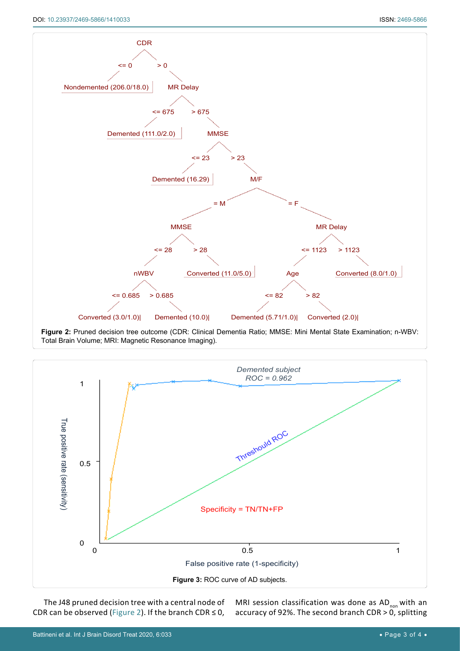<span id="page-2-0"></span>



<span id="page-2-1"></span>

The J48 pruned decision tree with a central node of CDR can be observed [\(Figure 2\)](#page-2-0). If the branch CDR  $\leq$  0,

MRI session classification was done as  $AD_{\text{non}}$  with an accuracy of 92%. The second branch CDR > 0, splitting